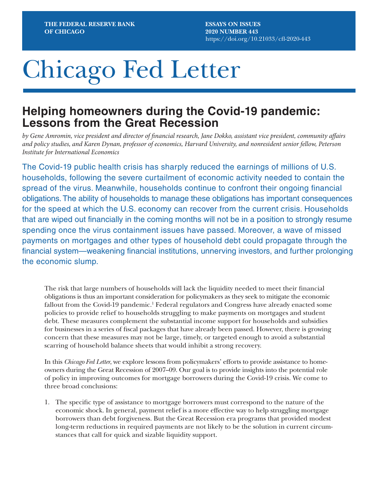**ESSAYS ON ISSUES 2020 NUMBER 443** https://doi.org/10.21033/cfl-2020-443

# Chicago Fed Letter

# **Helping homeowners during the Covid-19 pandemic: Lessons from the Great Recession**

*by Gene Amromin, vice president and director of financial research, Jane Dokko, assistant vice president, community affairs and policy studies, and Karen Dynan, professor of economics, Harvard University, and nonresident senior fellow, Peterson Institute for International Economics*

The Covid-19 public health crisis has sharply reduced the earnings of millions of U.S. households, following the severe curtailment of economic activity needed to contain the spread of the virus. Meanwhile, households continue to confront their ongoing financial obligations. The ability of households to manage these obligations has important consequences for the speed at which the U.S. economy can recover from the current crisis. Households that are wiped out financially in the coming months will not be in a position to strongly resume spending once the virus containment issues have passed. Moreover, a wave of missed payments on mortgages and other types of household debt could propagate through the financial system—weakening financial institutions, unnerving investors, and further prolonging the economic slump.

The risk that large numbers of households will lack the liquidity needed to meet their financial obligations is thus an important consideration for policymakers as they seek to mitigate the economic fallout from the Covid-19 pandemic.<sup>1</sup> Federal regulators and Congress have already enacted some policies to provide relief to households struggling to make payments on mortgages and student debt. These measures complement the substantial income support for households and subsidies for businesses in a series of fiscal packages that have already been passed. However, there is growing concern that these measures may not be large, timely, or targeted enough to avoid a substantial scarring of household balance sheets that would inhibit a strong recovery.

In this *Chicago Fed Letter*, we explore lessons from policymakers' efforts to provide assistance to homeowners during the Great Recession of 2007–09. Our goal is to provide insights into the potential role of policy in improving outcomes for mortgage borrowers during the Covid-19 crisis. We come to three broad conclusions:

1. The specific type of assistance to mortgage borrowers must correspond to the nature of the economic shock. In general, payment relief is a more effective way to help struggling mortgage borrowers than debt forgiveness. But the Great Recession era programs that provided modest long-term reductions in required payments are not likely to be the solution in current circumstances that call for quick and sizable liquidity support.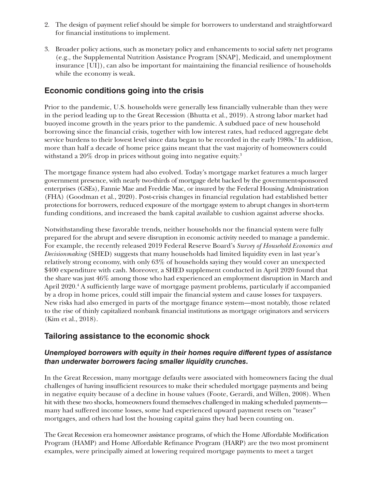- 2. The design of payment relief should be simple for borrowers to understand and straightforward for financial institutions to implement.
- 3. Broader policy actions, such as monetary policy and enhancements to social safety net programs (e.g., the Supplemental Nutrition Assistance Program [SNAP], Medicaid, and unemployment insurance [UI]), can also be important for maintaining the financial resilience of households while the economy is weak.

# **Economic conditions going into the crisis**

Prior to the pandemic, U.S. households were generally less financially vulnerable than they were in the period leading up to the Great Recession (Bhutta et al., 2019). A strong labor market had buoyed income growth in the years prior to the pandemic. A subdued pace of new household borrowing since the financial crisis, together with low interest rates, had reduced aggregate debt service burdens to their lowest level since data began to be recorded in the early 1980s.<sup>2</sup> In addition, more than half a decade of home price gains meant that the vast majority of homeowners could withstand a  $20\%$  drop in prices without going into negative equity. $^3$ 

The mortgage finance system had also evolved. Today's mortgage market features a much larger government presence, with nearly two-thirds of mortgage debt backed by the government-sponsored enterprises (GSEs), Fannie Mae and Freddie Mac, or insured by the Federal Housing Administration (FHA) (Goodman et al., 2020). Post-crisis changes in financial regulation had established better protections for borrowers, reduced exposure of the mortgage system to abrupt changes in short-term funding conditions, and increased the bank capital available to cushion against adverse shocks.

Notwithstanding these favorable trends, neither households nor the financial system were fully prepared for the abrupt and severe disruption in economic activity needed to manage a pandemic. For example, the recently released 2019 Federal Reserve Board's *Survey of Household Economics and Decisionmaking* (SHED) suggests that many households had limited liquidity even in last year's relatively strong economy, with only 63% of households saying they would cover an unexpected \$400 expenditure with cash. Moreover, a SHED supplement conducted in April 2020 found that the share was just 46% among those who had experienced an employment disruption in March and April 2020.<sup>4</sup> A sufficiently large wave of mortgage payment problems, particularly if accompanied by a drop in home prices, could still impair the financial system and cause losses for taxpayers. New risks had also emerged in parts of the mortgage finance system—most notably, those related to the rise of thinly capitalized nonbank financial institutions as mortgage originators and servicers (Kim et al., 2018).

# **Tailoring assistance to the economic shock**

#### *Unemployed borrowers with equity in their homes require different types of assistance than underwater borrowers facing smaller liquidity crunches.*

In the Great Recession, many mortgage defaults were associated with homeowners facing the dual challenges of having insufficient resources to make their scheduled mortgage payments and being in negative equity because of a decline in house values (Foote, Gerardi, and Willen, 2008). When hit with these two shocks, homeowners found themselves challenged in making scheduled payments many had suffered income losses, some had experienced upward payment resets on "teaser" mortgages, and others had lost the housing capital gains they had been counting on.

The Great Recession era homeowner assistance programs, of which the Home Affordable Modification Program (HAMP) and Home Affordable Refinance Program (HARP) are the two most prominent examples, were principally aimed at lowering required mortgage payments to meet a target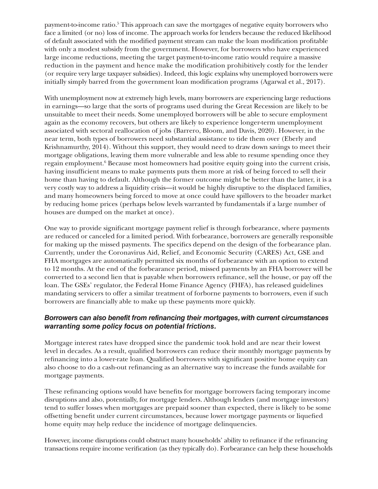payment-to-income ratio.<sup>5</sup> This approach can save the mortgages of negative equity borrowers who face a limited (or no) loss of income. The approach works for lenders because the reduced likelihood of default associated with the modified payment stream can make the loan modification profitable with only a modest subsidy from the government. However, for borrowers who have experienced large income reductions, meeting the target payment-to-income ratio would require a massive reduction in the payment and hence make the modification prohibitively costly for the lender (or require very large taxpayer subsidies). Indeed, this logic explains why unemployed borrowers were initially simply barred from the government loan modification programs (Agarwal et al., 2017).

With unemployment now at extremely high levels, many borrowers are experiencing large reductions in earnings—so large that the sorts of programs used during the Great Recession are likely to be unsuitable to meet their needs. Some unemployed borrowers will be able to secure employment again as the economy recovers, but others are likely to experience longer-term unemployment associated with sectoral reallocation of jobs (Barrero, Bloom, and Davis, 2020). However, in the near term, both types of borrowers need substantial assistance to tide them over (Eberly and Krishnamurthy, 2014). Without this support, they would need to draw down savings to meet their mortgage obligations, leaving them more vulnerable and less able to resume spending once they regain employment.<sup>6</sup> Because most homeowners had positive equity going into the current crisis, having insufficient means to make payments puts them more at risk of being forced to sell their home than having to default. Although the former outcome might be better than the latter, it is a very costly way to address a liquidity crisis—it would be highly disruptive to the displaced families, and many homeowners being forced to move at once could have spillovers to the broader market by reducing home prices (perhaps below levels warranted by fundamentals if a large number of houses are dumped on the market at once).

One way to provide significant mortgage payment relief is through forbearance, where payments are reduced or canceled for a limited period. With forbearance, borrowers are generally responsible for making up the missed payments. The specifics depend on the design of the forbearance plan. Currently, under the Coronavirus Aid, Relief, and Economic Security (CARES) Act, GSE and FHA mortgages are automatically permitted six months of forbearance with an option to extend to 12 months. At the end of the forbearance period, missed payments by an FHA borrower will be converted to a second lien that is payable when borrowers refinance, sell the house, or pay off the loan. The GSEs' regulator, the Federal Home Finance Agency (FHFA), has released guidelines mandating servicers to offer a similar treatment of forborne payments to borrowers, even if such borrowers are financially able to make up these payments more quickly.

#### *Borrowers can also benefit from refinancing their mortgages, with current circumstances warranting some policy focus on potential frictions.*

Mortgage interest rates have dropped since the pandemic took hold and are near their lowest level in decades. As a result, qualified borrowers can reduce their monthly mortgage payments by refinancing into a lower-rate loan. Qualified borrowers with significant positive home equity can also choose to do a cash-out refinancing as an alternative way to increase the funds available for mortgage payments.

These refinancing options would have benefits for mortgage borrowers facing temporary income disruptions and also, potentially, for mortgage lenders. Although lenders (and mortgage investors) tend to suffer losses when mortgages are prepaid sooner than expected, there is likely to be some offsetting benefit under current circumstances, because lower mortgage payments or liquefied home equity may help reduce the incidence of mortgage delinquencies.

However, income disruptions could obstruct many households' ability to refinance if the refinancing transactions require income verification (as they typically do). Forbearance can help these households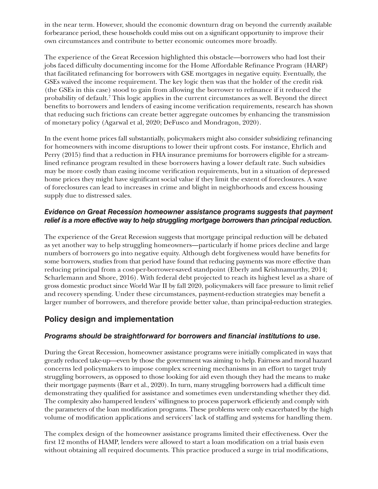in the near term. However, should the economic downturn drag on beyond the currently available forbearance period, these households could miss out on a significant opportunity to improve their own circumstances and contribute to better economic outcomes more broadly.

The experience of the Great Recession highlighted this obstacle—borrowers who had lost their jobs faced difficulty documenting income for the Home Affordable Refinance Program (HARP) that facilitated refinancing for borrowers with GSE mortgages in negative equity. Eventually, the GSEs waived the income requirement. The key logic then was that the holder of the credit risk (the GSEs in this case) stood to gain from allowing the borrower to refinance if it reduced the probability of default.<sup>7</sup> This logic applies in the current circumstances as well. Beyond the direct benefits to borrowers and lenders of easing income verification requirements, research has shown that reducing such frictions can create better aggregate outcomes by enhancing the transmission of monetary policy (Agarwal et al, 2020; DeFusco and Mondragon, 2020).

In the event home prices fall substantially, policymakers might also consider subsidizing refinancing for homeowners with income disruptions to lower their upfront costs. For instance, Ehrlich and Perry (2015) find that a reduction in FHA insurance premiums for borrowers eligible for a streamlined refinance program resulted in these borrowers having a lower default rate. Such subsidies may be more costly than easing income verification requirements, but in a situation of depressed home prices they might have significant social value if they limit the extent of foreclosures. A wave of foreclosures can lead to increases in crime and blight in neighborhoods and excess housing supply due to distressed sales.

#### *Evidence on Great Recession homeowner assistance programs suggests that payment relief is a more effective way to help struggling mortgage borrowers than principal reduction.*

The experience of the Great Recession suggests that mortgage principal reduction will be debated as yet another way to help struggling homeowners—particularly if home prices decline and large numbers of borrowers go into negative equity. Although debt forgiveness would have benefits for some borrowers, studies from that period have found that reducing payments was more effective than reducing principal from a cost-per-borrower-saved standpoint (Eberly and Krishnamurthy, 2014; Scharlemann and Shore, 2016). With federal debt projected to reach its highest level as a share of gross domestic product since World War II by fall 2020, policymakers will face pressure to limit relief and recovery spending. Under these circumstances, payment-reduction strategies may benefit a larger number of borrowers, and therefore provide better value, than principal-reduction strategies.

## **Policy design and implementation**

#### *Programs should be straightforward for borrowers and financial institutions to use.*

During the Great Recession, homeowner assistance programs were initially complicated in ways that greatly reduced take-up—even by those the government was aiming to help. Fairness and moral hazard concerns led policymakers to impose complex screening mechanisms in an effort to target truly struggling borrowers, as opposed to those looking for aid even though they had the means to make their mortgage payments (Barr et al., 2020). In turn, many struggling borrowers had a difficult time demonstrating they qualified for assistance and sometimes even understanding whether they did. The complexity also hampered lenders' willingness to process paperwork efficiently and comply with the parameters of the loan modification programs. These problems were only exacerbated by the high volume of modification applications and servicers' lack of staffing and systems for handling them.

The complex design of the homeowner assistance programs limited their effectiveness. Over the first 12 months of HAMP, lenders were allowed to start a loan modification on a trial basis even without obtaining all required documents. This practice produced a surge in trial modifications,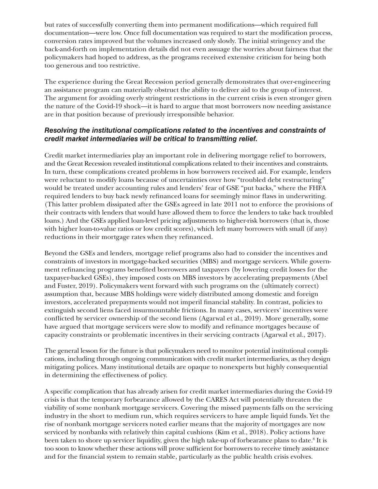but rates of successfully converting them into permanent modifications—which required full documentation—were low. Once full documentation was required to start the modification process, conversion rates improved but the volumes increased only slowly. The initial stringency and the back-and-forth on implementation details did not even assuage the worries about fairness that the policymakers had hoped to address, as the programs received extensive criticism for being both too generous and too restrictive.

The experience during the Great Recession period generally demonstrates that over-engineering an assistance program can materially obstruct the ability to deliver aid to the group of interest. The argument for avoiding overly stringent restrictions in the current crisis is even stronger given the nature of the Covid-19 shock—it is hard to argue that most borrowers now needing assistance are in that position because of previously irresponsible behavior.

#### *Resolving the institutional complications related to the incentives and constraints of credit market intermediaries will be critical to transmitting relief.*

Credit market intermediaries play an important role in delivering mortgage relief to borrowers, and the Great Recession revealed institutional complications related to their incentives and constraints. In turn, these complications created problems in how borrowers received aid. For example, lenders were reluctant to modify loans because of uncertainties over how "troubled debt restructuring" would be treated under accounting rules and lenders' fear of GSE "put backs," where the FHFA required lenders to buy back newly refinanced loans for seemingly minor flaws in underwriting. (This latter problem dissipated after the GSEs agreed in late 2011 not to enforce the provisions of their contracts with lenders that would have allowed them to force the lenders to take back troubled loans.) And the GSEs applied loan-level pricing adjustments to higher-risk borrowers (that is, those with higher loan-to-value ratios or low credit scores), which left many borrowers with small (if any) reductions in their mortgage rates when they refinanced.

Beyond the GSEs and lenders, mortgage relief programs also had to consider the incentives and constraints of investors in mortgage-backed securities (MBS) and mortgage servicers. While government refinancing programs benefited borrowers and taxpayers (by lowering credit losses for the taxpayer-backed GSEs), they imposed costs on MBS investors by accelerating prepayments (Abel and Fuster, 2019). Policymakers went forward with such programs on the (ultimately correct) assumption that, because MBS holdings were widely distributed among domestic and foreign investors, accelerated prepayments would not imperil financial stability. In contrast, policies to extinguish second liens faced insurmountable frictions. In many cases, servicers' incentives were conflicted by servicer ownership of the second liens (Agarwal et al., 2019). More generally, some have argued that mortgage servicers were slow to modify and refinance mortgages because of capacity constraints or problematic incentives in their servicing contracts (Agarwal et al., 2017).

The general lesson for the future is that policymakers need to monitor potential institutional complications, including through ongoing communication with credit market intermediaries, as they design mitigating polices. Many institutional details are opaque to nonexperts but highly consequential in determining the effectiveness of policy.

A specific complication that has already arisen for credit market intermediaries during the Covid-19 crisis is that the temporary forbearance allowed by the CARES Act will potentially threaten the viability of some nonbank mortgage servicers. Covering the missed payments falls on the servicing industry in the short to medium run, which requires servicers to have ample liquid funds. Yet the rise of nonbank mortgage servicers noted earlier means that the majority of mortgages are now serviced by nonbanks with relatively thin capital cushions (Kim et al., 2018). Policy actions have been taken to shore up servicer liquidity, given the high take-up of forbearance plans to date.<sup>8</sup> It is too soon to know whether these actions will prove sufficient for borrowers to receive timely assistance and for the financial system to remain stable, particularly as the public health crisis evolves.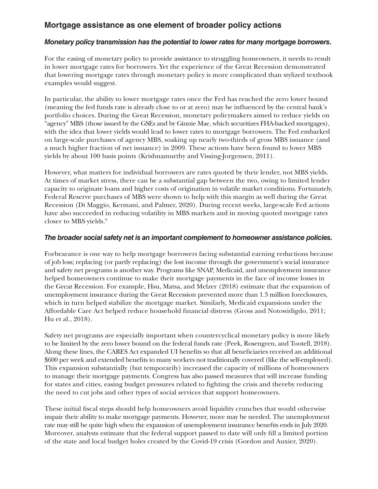# **Mortgage assistance as one element of broader policy actions**

#### *Monetary policy transmission has the potential to lower rates for many mortgage borrowers.*

For the easing of monetary policy to provide assistance to struggling homeowners, it needs to result in lower mortgage rates for borrowers. Yet the experience of the Great Recession demonstrated that lowering mortgage rates through monetary policy is more complicated than stylized textbook examples would suggest.

In particular, the ability to lower mortgage rates once the Fed has reached the zero lower bound (meaning the fed funds rate is already close to or at zero) may be influenced by the central bank's portfolio choices. During the Great Recession, monetary policymakers aimed to reduce yields on "agency" MBS (those issued by the GSEs and by Ginnie Mae, which securitizes FHA-backed mortgages), with the idea that lower yields would lead to lower rates to mortgage borrowers. The Fed embarked on large-scale purchases of agency MBS, soaking up nearly two-thirds of gross MBS issuance (and a much higher fraction of net issuance) in 2009. These actions have been found to lower MBS yields by about 100 basis points (Krishnamurthy and Vissing-Jorgensen, 2011).

However, what matters for individual borrowers are rates quoted by their lender, not MBS yields. At times of market stress, there can be a substantial gap between the two, owing to limited lender capacity to originate loans and higher costs of origination in volatile market conditions. Fortunately, Federal Reserve purchases of MBS were shown to help with this margin as well during the Great Recession (Di Maggio, Kermani, and Palmer, 2020). During recent weeks, large-scale Fed actions have also succeeded in reducing volatility in MBS markets and in moving quoted mortgage rates closer to MBS yields.9

#### *The broader social safety net is an important complement to homeowner assistance policies.*

Forbearance is one way to help mortgage borrowers facing substantial earning reductions because of job loss; replacing (or partly replacing) the lost income through the government's social insurance and safety net programs is another way. Programs like SNAP, Medicaid, and unemployment insurance helped homeowners continue to make their mortgage payments in the face of income losses in the Great Recession. For example, Hsu, Matsa, and Melzer (2018) estimate that the expansion of unemployment insurance during the Great Recession prevented more than 1.3 million foreclosures, which in turn helped stabilize the mortgage market. Similarly, Medicaid expansions under the Affordable Care Act helped reduce household financial distress (Gross and Notowidigdo, 2011; Hu et al., 2018).

Safety net programs are especially important when countercyclical monetary policy is more likely to be limited by the zero lower bound on the federal funds rate (Peek, Rosengren, and Tootell, 2018). Along these lines, the CARES Act expanded UI benefits so that all beneficiaries received an additional \$600 per week and extended benefits to many workers not traditionally covered (like the self-employed). This expansion substantially (but temporarily) increased the capacity of millions of homeowners to manage their mortgage payments. Congress has also passed measures that will increase funding for states and cities, easing budget pressures related to fighting the crisis and thereby reducing the need to cut jobs and other types of social services that support homeowners.

These initial fiscal steps should help homeowners avoid liquidity crunches that would otherwise impair their ability to make mortgage payments. However, more may be needed. The unemployment rate may still be quite high when the expansion of unemployment insurance benefits ends in July 2020. Moreover, analysts estimate that the federal support passed to date will only fill a limited portion of the state and local budget holes created by the Covid-19 crisis (Gordon and Auxier, 2020).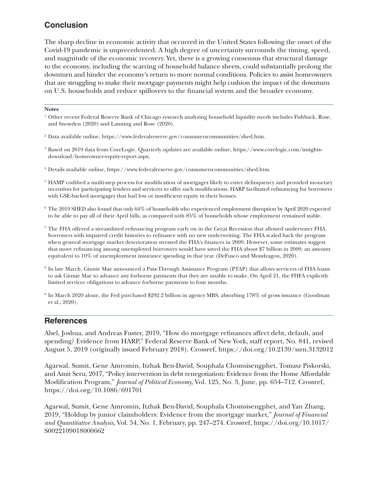# **Conclusion**

The sharp decline in economic activity that occurred in the United States following the onset of the Covid-19 pandemic is unprecedented. A high degree of uncertainty surrounds the timing, speed, and magnitude of the economic recovery. Yet, there is a growing consensus that structural damage to the economy, including the scarring of household balance sheets, could substantially prolong the downturn and hinder the economy's return to more normal conditions. Policies to assist homeowners that are struggling to make their mortgage payments might help cushion the impact of the downturn on U.S. households and reduce spillovers to the financial system and the broader economy.

#### **Notes**

- <sup>1</sup> Other recent Federal Reserve Bank of Chicago research analyzing household liquidity needs includes Fishback, Rose, and Snowden (2020) and Lanning and Rose (2020).
- <sup>2</sup> Data available online, [https://www.federalreserve.gov/consumerscommunities/shed.htm.](https://www.federalreserve.gov/consumerscommunities/shed.htm)
- <sup>3</sup> Based on 2019 data from CoreLogic. Quarterly updates are available online, [https://www.corelogic.com/insights](https://www.corelogic.com/insights-download/homeowner-equity-report.aspx)[download/homeowner-equity-report.aspx](https://www.corelogic.com/insights-download/homeowner-equity-report.aspx).
- <sup>4</sup> Details available online,<https://www.federalreserve.gov/consumerscommunities/shed.htm>.
- <sup>5</sup> HAMP codified a multi-step process for modification of mortgages likely to enter delinquency and provided monetary incentives for participating lenders and servicers to offer such modifications. HARP facilitated refinancing for borrowers with GSE-backed mortgages that had low or insufficient equity in their houses.
- <sup>6</sup> The 2019 SHED also found that only 64% of households who experienced employment disruption by April 2020 expected to be able to pay all of their April bills, as compared with 85% of households whose employment remained stable.
- <sup>7</sup> The FHA offered a streamlined refinancing program early on in the Great Recession that allowed underwater FHA borrowers with impaired credit histories to refinance with no new underwriting. The FHA scaled back the program when general mortgage market deterioration stressed the FHA's finances in 2009. However, some estimates suggest that more refinancing among unemployed borrowers would have saved the FHA about \$7 billion in 2009, an amount equivalent to 10% of unemployment insurance spending in that year (DeFusco and Mondragon, 2020).
- <sup>8</sup> In late March, Ginnie Mae announced a Pass-Through Assistance Program (PTAP) that allows servicers of FHA loans to ask Ginnie Mae to advance any forborne payments that they are unable to make. On April 21, the FHFA explicitly limited servicer obligations to advance forborne payments to four months.
- <sup>9</sup> In March 2020 alone, the Fed purchased \$292.2 billion in agency MBS, absorbing 178% of gross issuance (Goodman et al., 2020).

## **References**

Abel, Joshua, and Andreas Fuster, 2019, "How do mortgage refinances affect debt, default, and spending? Evidence from HARP," Federal Reserve Bank of New York, staff report, No. 841, revised August 5, 2019 (originally issued February 2018). Crossref, [https://doi.org/10.2139/ssrn.3132012](https://doi.org/10.2139/ssrn.3132012
)

Agarwal, Sumit, Gene Amromin, Itzhak Ben-David, Souphala Chomsisengphet, Tomasz Piskorski, and Amit Seru, 2017, "Policy intervention in debt renegotiation: Evidence from the Home Affordable Modification Program," *Journal of Political Economy*, Vol. 125, No. 3, June, pp. 654–712. Crossref, <https://doi.org/10.1086/691701>

Agarwal, Sumit, Gene Amromin, Itzhak Ben-David, Souphala Chomsisengphet, and Yan Zhang, 2019, "Holdup by junior claimholders: Evidence from the mortgage market," *Journal of Financial and Quantitative Analysis*, Vol. 54, No. 1, February, pp. 247–274. Crossref, [https://doi.org/10.1017/](https://doi.org/10.1017/S0022109018000662
) [S0022109018000662](https://doi.org/10.1017/S0022109018000662
)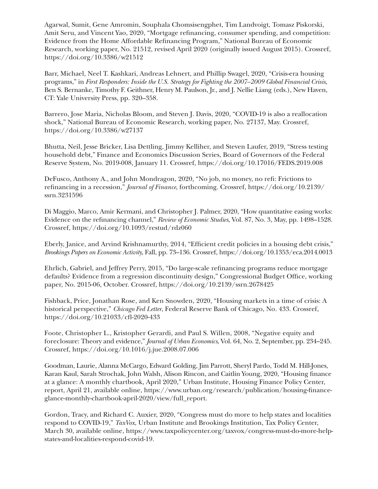Agarwal, Sumit, Gene Amromin, Souphala Chomsisengphet, Tim Landvoigt, Tomasz Piskorski, Amit Seru, and Vincent Yao, 2020, "Mortgage refinancing, consumer spending, and competition: Evidence from the Home Affordable Refinancing Program," National Bureau of Economic Research, working paper, No. 21512, revised April 2020 (originally issued August 2015). Crossref, [https://doi.org/10.3386/w21512](https://doi.org/10.3386/w21512
)

Barr, Michael, Neel T. Kashkari, Andreas Lehnert, and Phillip Swagel, 2020, "Crisis-era housing programs," in *First Responders: Inside the U.S. Strategy for Fighting the 2007–2009 Global Financial Crisis*, Ben S. Bernanke, Timothy F. Geithner, Henry M. Paulson, Jr., and J. Nellie Liang (eds.), New Haven, CT: Yale University Press, pp. 320–358.

Barrero, Jose Maria, Nicholas Bloom, and Steven J. Davis, 2020, "COVID-19 is also a reallocation shock," National Bureau of Economic Research, working paper, No. 27137, May. Crossref, <https://doi.org/10.3386/w27137>

Bhutta, Neil, Jesse Bricker, Lisa Dettling, Jimmy Kelliher, and Steven Laufer, 2019, "Stress testing household debt," Finance and Economics Discussion Series, Board of Governors of the Federal Reserve System, No. 2019-008, January 11. Crossref, [https://doi.org/10.17016/FEDS.2019.008](https://doi.org/10.17016/FEDS.2019.008
)

DeFusco, Anthony A., and John Mondragon, 2020, "No job, no money, no refi: Frictions to refinancing in a recession," *Journal of Finance*, forthcoming. Crossref, [https://doi.org/10.2139/](https://doi.org/10.2139/ssrn.3231596
) [ssrn.3231596](https://doi.org/10.2139/ssrn.3231596
)

Di Maggio, Marco, Amir Kermani, and Christopher J. Palmer, 2020, "How quantitative easing works: Evidence on the refinancing channel," *Review of Economic Studies*, Vol. 87, No. 3, May, pp. 1498–1528. Crossref, [https://doi.org/10.1093/restud/rdz060](https://doi.org/10.1093/restud/rdz060
)

Eberly, Janice, and Arvind Krishnamurthy, 2014, "Efficient credit policies in a housing debt crisis," *Brookings Papers on Economic Activity*, Fall, pp. 73–136. Crossref, [https://doi.org/10.1353/eca.2014.0013](https://doi.org/10.1353/eca.2014.0013
)

Ehrlich, Gabriel, and Jeffrey Perry, 2015, "Do large-scale refinancing programs reduce mortgage defaults? Evidence from a regression discontinuity design," Congressional Budget Office, working paper, No. 2015-06, October. Crossref, [https://doi.org/10.2139/ssrn.2678425](https://doi.org/10.2139/ssrn.2678425
)

Fishback, Price, Jonathan Rose, and Ken Snowden, 2020, "Housing markets in a time of crisis: A historical perspective," *Chicago Fed Letter*, Federal Reserve Bank of Chicago, No. 433. Crossref, <https://doi.org/10.21033/cfl-2020-433>

Foote, Christopher L., Kristopher Gerardi, and Paul S. Willen, 2008, "Negative equity and foreclosure: Theory and evidence," *Journal of Urban Economics*, Vol. 64, No. 2, September, pp. 234–245. Crossref,<https://doi.org/10.1016/j.jue.2008.07.006>

Goodman, Laurie, Alanna McCargo, Edward Golding, Jim Parrott, Sheryl Pardo, Todd M. Hill-Jones, Karan Kaul, Sarah Strochak, John Walsh, Alison Rincon, and Caitlin Young, 2020, "Housing finance at a glance: A monthly chartbook, April 2020," Urban Institute, Housing Finance Policy Center, report, April 21, available online, [https://www.urban.org/research/publication/housing-finance](https://www.urban.org/research/publication/housing-finance-glance-monthly-chartbook-april-2020/view/full_report)[glance-monthly-chartbook-april-2020/view/full\\_report.](https://www.urban.org/research/publication/housing-finance-glance-monthly-chartbook-april-2020/view/full_report)

Gordon, Tracy, and Richard C. Auxier, 2020, "Congress must do more to help states and localities respond to COVID-19," *TaxVox*, Urban Institute and Brookings Institution, Tax Policy Center, March 30, available online, [https://www.taxpolicycenter.org/taxvox/congress-must-do-more-help](https://www.taxpolicycenter.org/taxvox/congress-must-do-more-help-states-and-localities-respond-covid-19)[states-and-localities-respond-covid-19](https://www.taxpolicycenter.org/taxvox/congress-must-do-more-help-states-and-localities-respond-covid-19).